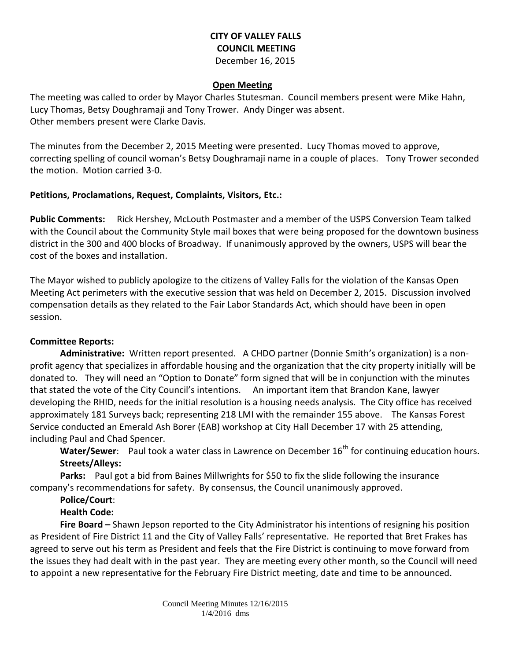### **CITY OF VALLEY FALLS COUNCIL MEETING** December 16, 2015

#### **Open Meeting**

The meeting was called to order by Mayor Charles Stutesman. Council members present were Mike Hahn, Lucy Thomas, Betsy Doughramaji and Tony Trower. Andy Dinger was absent. Other members present were Clarke Davis.

The minutes from the December 2, 2015 Meeting were presented. Lucy Thomas moved to approve, correcting spelling of council woman's Betsy Doughramaji name in a couple of places. Tony Trower seconded the motion. Motion carried 3-0.

### **Petitions, Proclamations, Request, Complaints, Visitors, Etc.:**

**Public Comments:** Rick Hershey, McLouth Postmaster and a member of the USPS Conversion Team talked with the Council about the Community Style mail boxes that were being proposed for the downtown business district in the 300 and 400 blocks of Broadway. If unanimously approved by the owners, USPS will bear the cost of the boxes and installation.

The Mayor wished to publicly apologize to the citizens of Valley Falls for the violation of the Kansas Open Meeting Act perimeters with the executive session that was held on December 2, 2015. Discussion involved compensation details as they related to the Fair Labor Standards Act, which should have been in open session.

### **Committee Reports:**

**Administrative:** Written report presented. A CHDO partner (Donnie Smith's organization) is a nonprofit agency that specializes in affordable housing and the organization that the city property initially will be donated to. They will need an "Option to Donate" form signed that will be in conjunction with the minutes that stated the vote of the City Council's intentions. An important item that Brandon Kane, lawyer developing the RHID, needs for the initial resolution is a housing needs analysis. The City office has received approximately 181 Surveys back; representing 218 LMI with the remainder 155 above. The Kansas Forest Service conducted an Emerald Ash Borer (EAB) workshop at City Hall December 17 with 25 attending, including Paul and Chad Spencer.

Water/Sewer: Paul took a water class in Lawrence on December 16<sup>th</sup> for continuing education hours. **Streets/Alleys:**

**Parks:** Paul got a bid from Baines Millwrights for \$50 to fix the slide following the insurance company's recommendations for safety. By consensus, the Council unanimously approved.

# **Police/Court**:

## **Health Code:**

**Fire Board –** Shawn Jepson reported to the City Administrator his intentions of resigning his position as President of Fire District 11 and the City of Valley Falls' representative. He reported that Bret Frakes has agreed to serve out his term as President and feels that the Fire District is continuing to move forward from the issues they had dealt with in the past year. They are meeting every other month, so the Council will need to appoint a new representative for the February Fire District meeting, date and time to be announced.